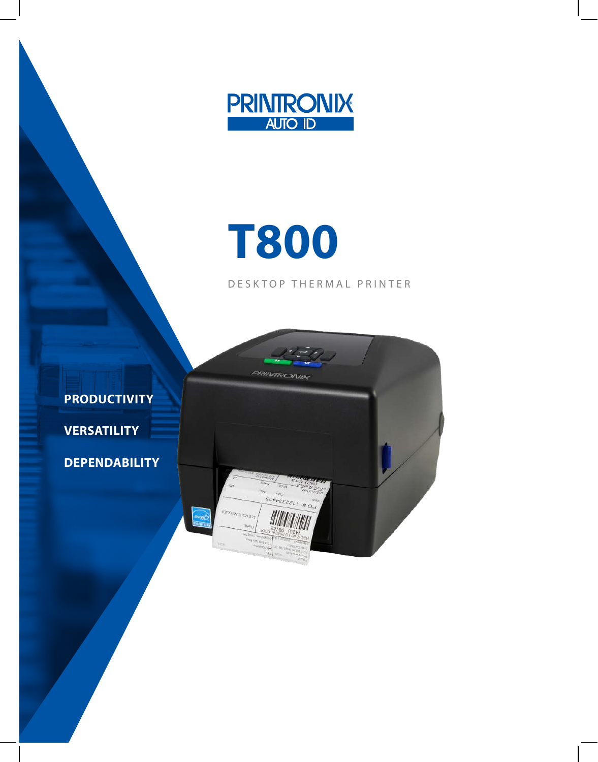

# **T800**

DESKTOP THERMAL PRINTER

**PRODUCTIVITY VERSATILITY DEPENDABILITY**

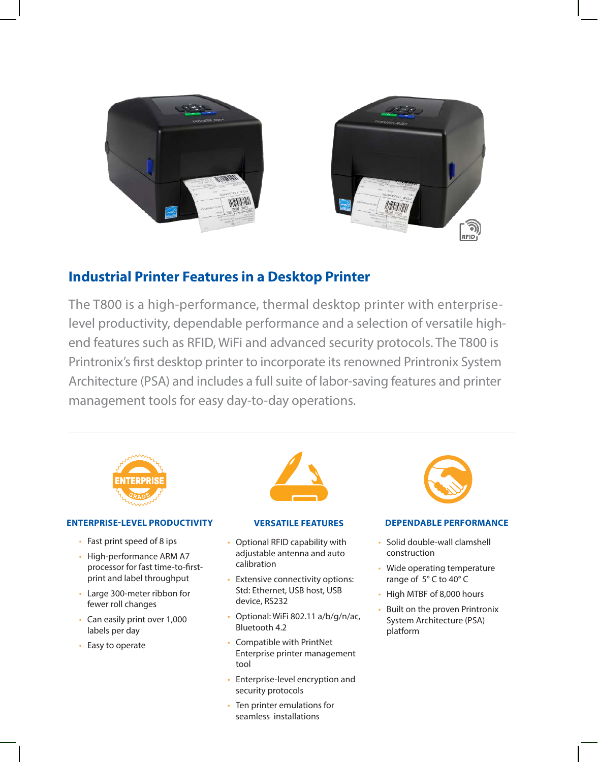



# **Industrial Printer Features in a Desktop Printer**

The T800 is a high-performance, thermal desktop printer with enterpriselevel productivity, dependable performance and a selection of versatile highend features such as RFID, WiFi and advanced security protocols. The T800 is Printronix's first desktop printer to incorporate its renowned Printronix System Architecture (PSA) and includes a full suite of labor-saving features and printer management tools for easy day-to-day operations.



#### **ENTERPRISE-LEVEL PRODUCTIVITY**

- Fast print speed of 8 ips
- High-performance ARM A7 processor for fast time-to-firstprint and label throughput
- Large 300-meter ribbon for fewer roll changes
- Can easily print over 1,000 labels per day
- Easy to operate



#### **VERSATILE FEATURES**

- Optional RFID capability with adjustable antenna and auto calibration
- Extensive connectivity options: Std: Ethernet, USB host, USB device, RS232
- Optional: WiFi 802.11 a/b/g/n/ac, Bluetooth 4.2
- Compatible with PrintNet Enterprise printer management tool
- Enterprise-level encryption and security protocols
- Ten printer emulations for seamless installations



#### **DEPENDABLE PERFORMANCE**

- Solid double-wall clamshell construction
- Wide operating temperature range of 5° C to 40° C
- High MTBF of 8,000 hours
- Built on the proven Printronix System Architecture (PSA) platform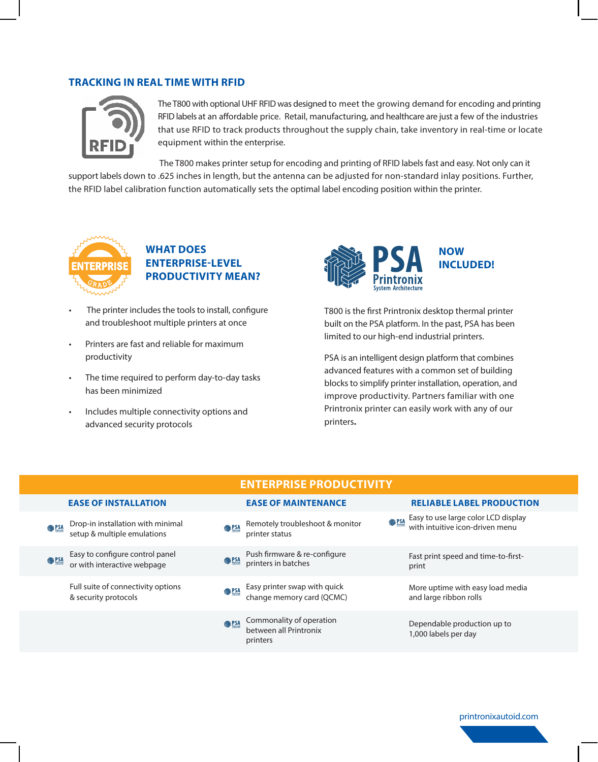#### **TRACKING IN REAL TIME WITH RFID**



The T800 with optional UHF RFID was designed to meet the growing demand for encoding and printing RFID labels at an affordable price. Retail, manufacturing, and healthcare are just a few of the industries that use RFID to track products throughout the supply chain, take inventory in real-time or locate equipment within the enterprise.

 The T800 makes printer setup for encoding and printing of RFID labels fast and easy. Not only can it support labels down to .625 inches in length, but the antenna can be adjusted for non-standard inlay positions. Further, the RFID label calibration function automatically sets the optimal label encoding position within the printer.



### **WHAT DOES ENTERPRISE-LEVEL PRODUCTIVITY MEAN?**

- The printer includes the tools to install, configure and troubleshoot multiple printers at once
- Printers are fast and reliable for maximum productivity
- The time required to perform day-to-day tasks has been minimized
- Includes multiple connectivity options and advanced security protocols



T800 is the first Printronix desktop thermal printer built on the PSA platform. In the past, PSA has been limited to our high-end industrial printers.

PSA is an intelligent design platform that combines advanced features with a common set of building blocks to simplify printer installation, operation, and improve productivity. Partners familiar with one Printronix printer can easily work with any of our printers**.** 

|                                                                                 | <b>ENTERPRISE PRODUCTIVITY</b>                                                 |                                                                                       |
|---------------------------------------------------------------------------------|--------------------------------------------------------------------------------|---------------------------------------------------------------------------------------|
| <b>EASE OF INSTALLATION</b>                                                     | <b>EASE OF MAINTENANCE</b>                                                     | <b>RELIABLE LABEL PRODUCTION</b>                                                      |
| Drop-in installation with minimal<br><b>参PSA</b><br>setup & multiple emulations | Remotely troubleshoot & monitor<br><b>●PSA</b><br>printer status               | Easy to use large color LCD display<br>with intuitive icon-driven menu<br><b>参PSA</b> |
| Easy to configure control panel<br><b>SALES</b><br>or with interactive webpage  | Push firmware & re-configure<br>printers in batches<br><b>SALES</b>            | Fast print speed and time-to-first-<br>print                                          |
| Full suite of connectivity options<br>& security protocols                      | Easy printer swap with quick<br><b>SAR PSA</b><br>change memory card (QCMC)    | More uptime with easy load media<br>and large ribbon rolls                            |
|                                                                                 | Commonality of operation<br><b>129 健</b><br>between all Printronix<br>printers | Dependable production up to<br>1,000 labels per day                                   |

printronixautoid.com